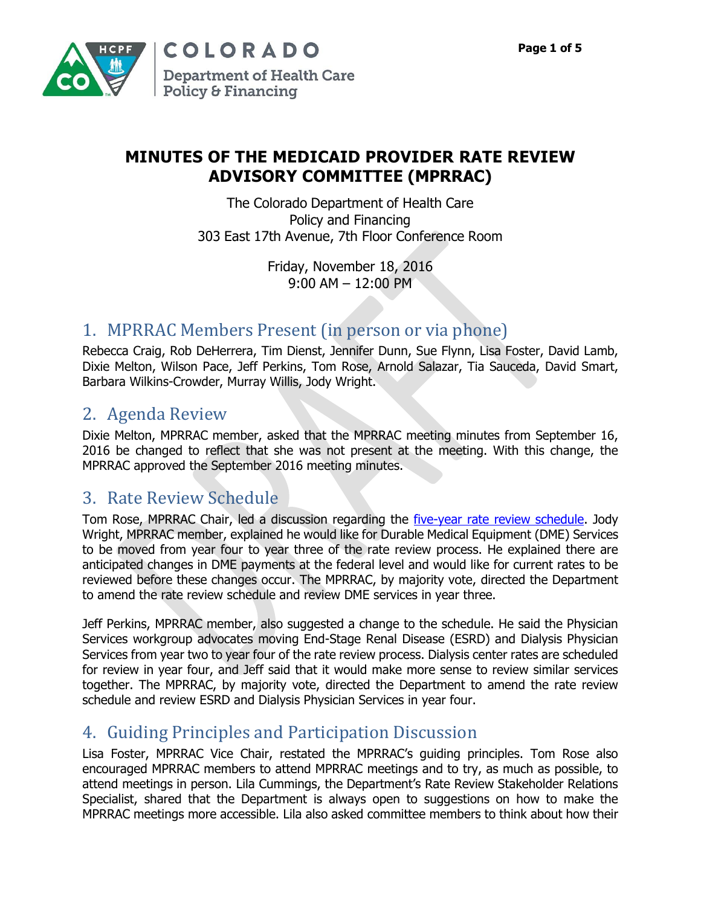

# **MINUTES OF THE MEDICAID PROVIDER RATE REVIEW ADVISORY COMMITTEE (MPRRAC)**

The Colorado Department of Health Care Policy and Financing 303 East 17th Avenue, 7th Floor Conference Room

> Friday, November 18, 2016 9:00 AM – 12:00 PM

# 1. MPRRAC Members Present (in person or via phone)

Rebecca Craig, Rob DeHerrera, Tim Dienst, Jennifer Dunn, Sue Flynn, Lisa Foster, David Lamb, Dixie Melton, Wilson Pace, Jeff Perkins, Tom Rose, Arnold Salazar, Tia Sauceda, David Smart, Barbara Wilkins-Crowder, Murray Willis, Jody Wright.

# 2. Agenda Review

Dixie Melton, MPRRAC member, asked that the MPRRAC meeting minutes from September 16, 2016 be changed to reflect that she was not present at the meeting. With this change, the MPRRAC approved the September 2016 meeting minutes.

## 3. Rate Review Schedule

Tom Rose, MPRRAC Chair, led a discussion regarding the [five-year rate review schedule.](https://www.colorado.gov/pacific/sites/default/files/Medicaid%20Provider%20Rate%20Review%20Schedule%20FINAL%20October%202015.pdf) Jody Wright, MPRRAC member, explained he would like for Durable Medical Equipment (DME) Services to be moved from year four to year three of the rate review process. He explained there are anticipated changes in DME payments at the federal level and would like for current rates to be reviewed before these changes occur. The MPRRAC, by majority vote, directed the Department to amend the rate review schedule and review DME services in year three.

Jeff Perkins, MPRRAC member, also suggested a change to the schedule. He said the Physician Services workgroup advocates moving End-Stage Renal Disease (ESRD) and Dialysis Physician Services from year two to year four of the rate review process. Dialysis center rates are scheduled for review in year four, and Jeff said that it would make more sense to review similar services together. The MPRRAC, by majority vote, directed the Department to amend the rate review schedule and review ESRD and Dialysis Physician Services in year four.

# 4. Guiding Principles and Participation Discussion

Lisa Foster, MPRRAC Vice Chair, restated the MPRRAC's guiding principles. Tom Rose also encouraged MPRRAC members to attend MPRRAC meetings and to try, as much as possible, to attend meetings in person. Lila Cummings, the Department's Rate Review Stakeholder Relations Specialist, shared that the Department is always open to suggestions on how to make the MPRRAC meetings more accessible. Lila also asked committee members to think about how their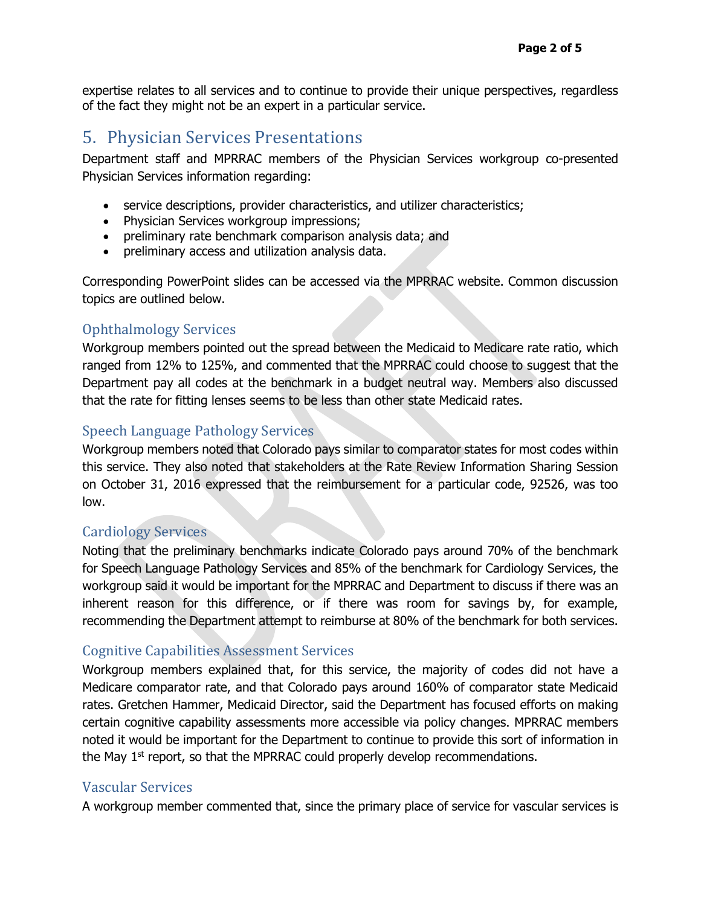expertise relates to all services and to continue to provide their unique perspectives, regardless of the fact they might not be an expert in a particular service.

### 5. Physician Services Presentations

Department staff and MPRRAC members of the Physician Services workgroup co-presented Physician Services information regarding:

- service descriptions, provider characteristics, and utilizer characteristics;
- Physician Services workgroup impressions;
- preliminary rate benchmark comparison analysis data; and
- preliminary access and utilization analysis data.

Corresponding PowerPoint slides can be accessed via the MPRRAC website. Common discussion topics are outlined below.

#### Ophthalmology Services

Workgroup members pointed out the spread between the Medicaid to Medicare rate ratio, which ranged from 12% to 125%, and commented that the MPRRAC could choose to suggest that the Department pay all codes at the benchmark in a budget neutral way. Members also discussed that the rate for fitting lenses seems to be less than other state Medicaid rates.

### Speech Language Pathology Services

Workgroup members noted that Colorado pays similar to comparator states for most codes within this service. They also noted that stakeholders at the Rate Review Information Sharing Session on October 31, 2016 expressed that the reimbursement for a particular code, 92526, was too low.

#### Cardiology Services

Noting that the preliminary benchmarks indicate Colorado pays around 70% of the benchmark for Speech Language Pathology Services and 85% of the benchmark for Cardiology Services, the workgroup said it would be important for the MPRRAC and Department to discuss if there was an inherent reason for this difference, or if there was room for savings by, for example, recommending the Department attempt to reimburse at 80% of the benchmark for both services.

### Cognitive Capabilities Assessment Services

Workgroup members explained that, for this service, the majority of codes did not have a Medicare comparator rate, and that Colorado pays around 160% of comparator state Medicaid rates. Gretchen Hammer, Medicaid Director, said the Department has focused efforts on making certain cognitive capability assessments more accessible via policy changes. MPRRAC members noted it would be important for the Department to continue to provide this sort of information in the May  $1<sup>st</sup>$  report, so that the MPRRAC could properly develop recommendations.

#### Vascular Services

A workgroup member commented that, since the primary place of service for vascular services is